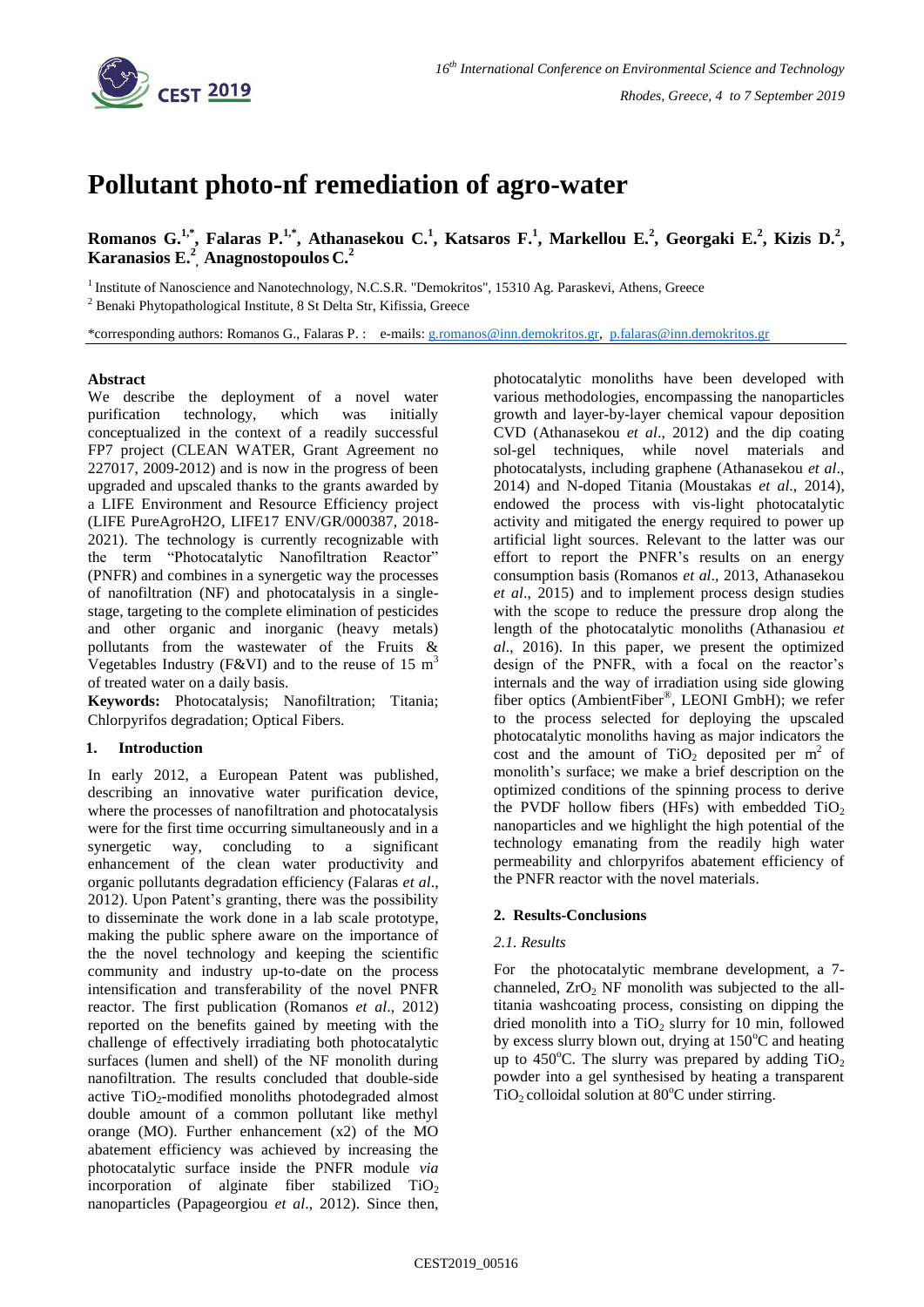

# **Pollutant photo-nf remediation of agro-water**

**Romanos G.1,\*, Falaras P.1,\* , Athanasekou C.<sup>1</sup> , Katsaros F.<sup>1</sup> , Markellou E.<sup>2</sup> , Georgaki E.<sup>2</sup> , Kizis D.<sup>2</sup> , Karanasios E.<sup>2</sup> , Anagnostopoulos C.<sup>2</sup>**

<sup>1</sup> Institute of Nanoscience and Nanotechnology, N.C.S.R. "Demokritos", 15310 Ag. Paraskevi, Athens, Greece

<sup>2</sup> Benaki Phytopathological Institute, 8 St Delta Str, Kifissia, Greece

\*corresponding authors: Romanos G., Falaras P. : e-mails: [g.romanos@inn.demokritos.gr,](mailto:g.romanos@inn.demokritos.gr) [p.falaras@inn.demokritos.gr](mailto:p.falaras@inn.demokritos.gr)

### **Abstract**

We describe the deployment of a novel water purification technology, which was initially conceptualized in the context of a readily successful FP7 project (CLEAN WATER, Grant Agreement no 227017, 2009-2012) and is now in the progress of been upgraded and upscaled thanks to the grants awarded by a LIFE Environment and Resource Efficiency project (LIFE PureAgroH2O, LIFE17 ENV/GR/000387, 2018- 2021). The technology is currently recognizable with the term "Photocatalytic Nanofiltration Reactor" (PNFR) and combines in a synergetic way the processes of nanofiltration (NF) and photocatalysis in a singlestage, targeting to the complete elimination of pesticides and other organic and inorganic (heavy metals) pollutants from the wastewater of the Fruits & Vegetables Industry (F&VI) and to the reuse of 15  $m<sup>3</sup>$ of treated water on a daily basis.

**Keywords:** Photocatalysis; Nanofiltration; Titania; Chlorpyrifos degradation; Optical Fibers.

## **1. Introduction**

In early 2012, a European Patent was published, describing an innovative water purification device, where the processes of nanofiltration and photocatalysis were for the first time occurring simultaneously and in a synergetic way, concluding to a significant enhancement of the clean water productivity and organic pollutants degradation efficiency (Falaras *et al*., 2012). Upon Patent's granting, there was the possibility to disseminate the work done in a lab scale prototype, making the public sphere aware on the importance of the the novel technology and keeping the scientific community and industry up-to-date on the process intensification and transferability of the novel PNFR reactor. The first publication (Romanos *et al*., 2012) reported on the benefits gained by meeting with the challenge of effectively irradiating both photocatalytic surfaces (lumen and shell) of the NF monolith during nanofiltration. The results concluded that double-side active TiO<sub>2</sub>-modified monoliths photodegraded almost double amount of a common pollutant like methyl orange (MO). Further enhancement (x2) of the MO abatement efficiency was achieved by increasing the photocatalytic surface inside the PNFR module *via* incorporation of alginate fiber stabilized  $TiO<sub>2</sub>$ nanoparticles (Papageorgiou *et al*., 2012). Since then,

photocatalytic monoliths have been developed with various methodologies, encompassing the nanoparticles growth and layer-by-layer chemical vapour deposition CVD (Athanasekou *et al*., 2012) and the dip coating sol-gel techniques, while novel materials and photocatalysts, including graphene (Athanasekou *et al*., 2014) and N-doped Titania (Moustakas *et al*., 2014), endowed the process with vis-light photocatalytic activity and mitigated the energy required to power up artificial light sources. Relevant to the latter was our effort to report the PNFR's results on an energy consumption basis (Romanos *et al*., 2013, Athanasekou *et al*., 2015) and to implement process design studies with the scope to reduce the pressure drop along the length of the photocatalytic monoliths (Athanasiou *et al*., 2016). In this paper, we present the optimized design of the PNFR, with a focal on the reactor's internals and the way of irradiation using side glowing fiber optics (AmbientFiber<sup>®</sup>, LEONI GmbH); we refer to the process selected for deploying the upscaled photocatalytic monoliths having as major indicators the cost and the amount of  $TiO<sub>2</sub>$  deposited per m<sup>2</sup> of monolith's surface; we make a brief description on the optimized conditions of the spinning process to derive the PVDF hollow fibers (HFs) with embedded  $TiO<sub>2</sub>$ nanoparticles and we highlight the high potential of the technology emanating from the readily high water permeability and chlorpyrifos abatement efficiency of the PNFR reactor with the novel materials.

#### **2. Results-Conclusions**

#### *2.1. Results*

For the photocatalytic membrane development, a 7 channeled,  $ZrO<sub>2</sub>$  NF monolith was subjected to the alltitania washcoating process, consisting on dipping the dried monolith into a  $TiO<sub>2</sub>$  slurry for 10 min, followed by excess slurry blown out, drying at  $150^{\circ}$ C and heating up to 450 $^{\circ}$ C. The slurry was prepared by adding TiO<sub>2</sub> powder into a gel synthesised by heating a transparent  $TiO<sub>2</sub>$  colloidal solution at 80 $^{\circ}$ C under stirring.